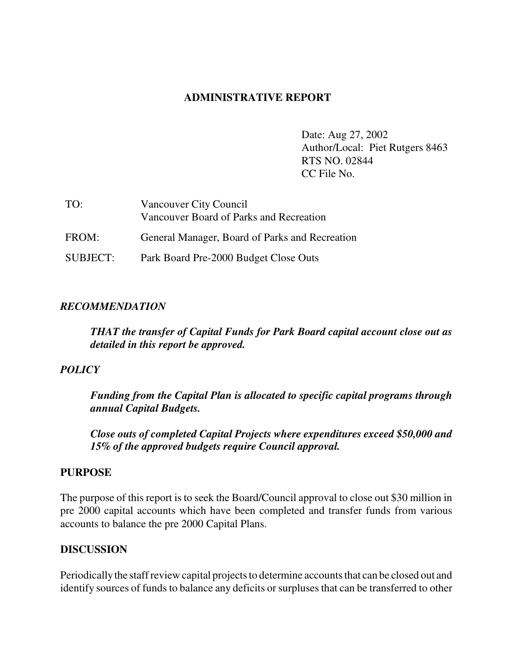### **ADMINISTRATIVE REPORT**

Date: Aug 27, 2002 Author/Local: Piet Rutgers 8463 RTS NO. 02844 CC File No.

| TO:             | Vancouver City Council                         |
|-----------------|------------------------------------------------|
|                 | Vancouver Board of Parks and Recreation        |
| FROM:           | General Manager, Board of Parks and Recreation |
| <b>SUBJECT:</b> | Park Board Pre-2000 Budget Close Outs          |

#### *RECOMMENDATION*

*THAT the transfer of Capital Funds for Park Board capital account close out as detailed in this report be approved.*

### *POLICY*

*Funding from the Capital Plan is allocated to specific capital programs through annual Capital Budgets.*

*Close outs of completed Capital Projects where expenditures exceed \$50,000 and 15% of the approved budgets require Council approval.*

#### **PURPOSE**

The purpose of this report is to seek the Board/Council approval to close out \$30 million in pre 2000 capital accounts which have been completed and transfer funds from various accounts to balance the pre 2000 Capital Plans.

### **DISCUSSION**

Periodicallythe staff review capital projects to determine accounts that can be closed out and identify sources of funds to balance any deficits or surpluses that can be transferred to other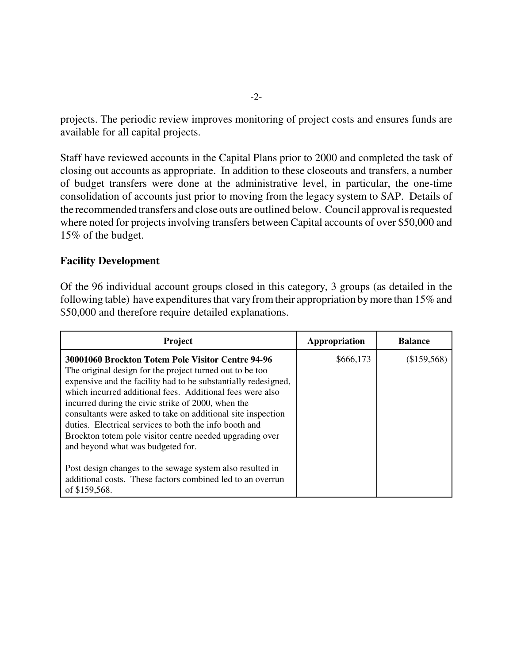projects. The periodic review improves monitoring of project costs and ensures funds are available for all capital projects.

Staff have reviewed accounts in the Capital Plans prior to 2000 and completed the task of closing out accounts as appropriate. In addition to these closeouts and transfers, a number of budget transfers were done at the administrative level, in particular, the one-time consolidation of accounts just prior to moving from the legacy system to SAP. Details of the recommended transfers and close outs are outlined below. Council approval is requested where noted for projects involving transfers between Capital accounts of over \$50,000 and 15% of the budget.

### **Facility Development**

Of the 96 individual account groups closed in this category, 3 groups (as detailed in the following table) have expenditures that vary from their appropriation by more than 15% and \$50,000 and therefore require detailed explanations.

| Project                                                                                                                                                                                                                                                                                                                                                                                                                                                                                                                       | Appropriation | <b>Balance</b> |
|-------------------------------------------------------------------------------------------------------------------------------------------------------------------------------------------------------------------------------------------------------------------------------------------------------------------------------------------------------------------------------------------------------------------------------------------------------------------------------------------------------------------------------|---------------|----------------|
| 30001060 Brockton Totem Pole Visitor Centre 94-96<br>The original design for the project turned out to be too<br>expensive and the facility had to be substantially redesigned,<br>which incurred additional fees. Additional fees were also<br>incurred during the civic strike of 2000, when the<br>consultants were asked to take on additional site inspection<br>duties. Electrical services to both the info booth and<br>Brockton totem pole visitor centre needed upgrading over<br>and beyond what was budgeted for. | \$666,173     | (\$159,568)    |
| Post design changes to the sewage system also resulted in<br>additional costs. These factors combined led to an overrun<br>of \$159,568.                                                                                                                                                                                                                                                                                                                                                                                      |               |                |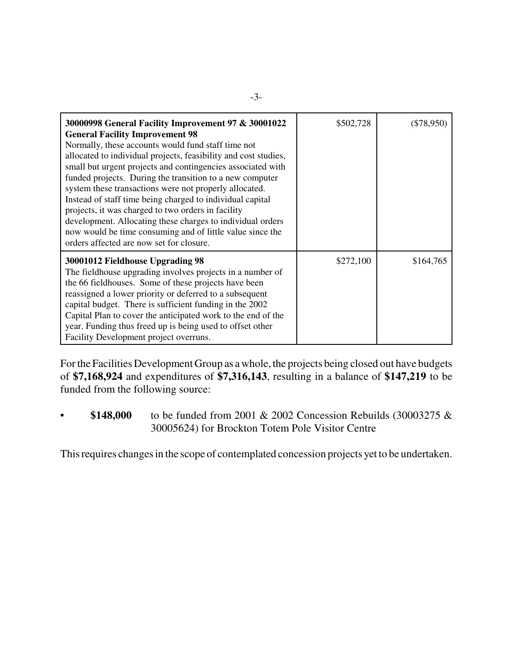| 30000998 General Facility Improvement 97 & 30001022<br><b>General Facility Improvement 98</b><br>Normally, these accounts would fund staff time not<br>allocated to individual projects, feasibility and cost studies,<br>small but urgent projects and contingencies associated with<br>funded projects. During the transition to a new computer<br>system these transactions were not properly allocated.<br>Instead of staff time being charged to individual capital<br>projects, it was charged to two orders in facility<br>development. Allocating these charges to individual orders<br>now would be time consuming and of little value since the<br>orders affected are now set for closure. | \$502,728 | (\$78,950) |
|-------------------------------------------------------------------------------------------------------------------------------------------------------------------------------------------------------------------------------------------------------------------------------------------------------------------------------------------------------------------------------------------------------------------------------------------------------------------------------------------------------------------------------------------------------------------------------------------------------------------------------------------------------------------------------------------------------|-----------|------------|
| 30001012 Fieldhouse Upgrading 98<br>The fieldhouse upgrading involves projects in a number of<br>the 66 fieldhouses. Some of these projects have been<br>reassigned a lower priority or deferred to a subsequent<br>capital budget. There is sufficient funding in the 2002<br>Capital Plan to cover the anticipated work to the end of the<br>year. Funding thus freed up is being used to offset other<br>Facility Development project overruns.                                                                                                                                                                                                                                                    | \$272,100 | \$164,765  |

Forthe Facilities Development Group as a whole, the projects being closed out have budgets of **\$7,168,924** and expenditures of **\$7,316,143**, resulting in a balance of **\$147,219** to be funded from the following source:

• **\$148,000** to be funded from 2001 & 2002 Concession Rebuilds (30003275 & 30005624) for Brockton Totem Pole Visitor Centre

This requires changes in the scope of contemplated concession projects yet to be undertaken.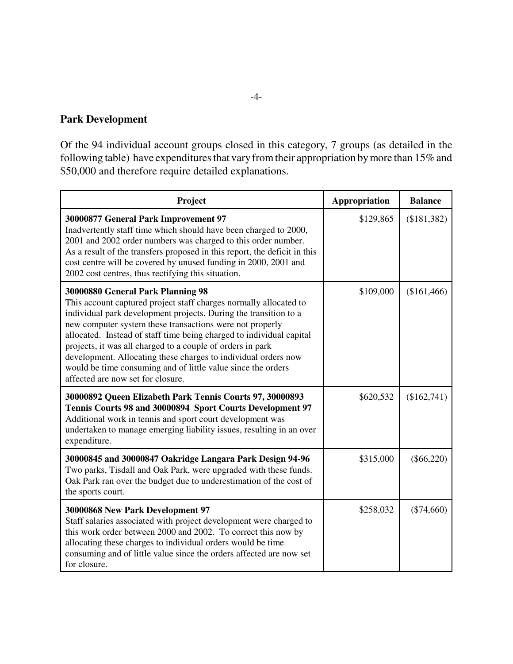### **Park Development**

Of the 94 individual account groups closed in this category, 7 groups (as detailed in the following table) have expenditures that vary from their appropriation by more than 15% and \$50,000 and therefore require detailed explanations.

| Project                                                                                                                                                                                                                                                                                                                                                                                                                                                                                                                                             | Appropriation | <b>Balance</b> |
|-----------------------------------------------------------------------------------------------------------------------------------------------------------------------------------------------------------------------------------------------------------------------------------------------------------------------------------------------------------------------------------------------------------------------------------------------------------------------------------------------------------------------------------------------------|---------------|----------------|
| 30000877 General Park Improvement 97<br>Inadvertently staff time which should have been charged to 2000,<br>2001 and 2002 order numbers was charged to this order number.<br>As a result of the transfers proposed in this report, the deficit in this<br>cost centre will be covered by unused funding in 2000, 2001 and<br>2002 cost centres, thus rectifying this situation.                                                                                                                                                                     | \$129,865     | (\$181,382)    |
| 30000880 General Park Planning 98<br>This account captured project staff charges normally allocated to<br>individual park development projects. During the transition to a<br>new computer system these transactions were not properly<br>allocated. Instead of staff time being charged to individual capital<br>projects, it was all charged to a couple of orders in park<br>development. Allocating these charges to individual orders now<br>would be time consuming and of little value since the orders<br>affected are now set for closure. | \$109,000     | (\$161,466)    |
| 30000892 Queen Elizabeth Park Tennis Courts 97, 30000893<br>Tennis Courts 98 and 30000894 Sport Courts Development 97<br>Additional work in tennis and sport court development was<br>undertaken to manage emerging liability issues, resulting in an over<br>expenditure.                                                                                                                                                                                                                                                                          | \$620,532     | (\$162,741)    |
| 30000845 and 30000847 Oakridge Langara Park Design 94-96<br>Two parks, Tisdall and Oak Park, were upgraded with these funds.<br>Oak Park ran over the budget due to underestimation of the cost of<br>the sports court.                                                                                                                                                                                                                                                                                                                             | \$315,000     | $(\$66,220)$   |
| 30000868 New Park Development 97<br>Staff salaries associated with project development were charged to<br>this work order between 2000 and 2002. To correct this now by<br>allocating these charges to individual orders would be time<br>consuming and of little value since the orders affected are now set<br>for closure.                                                                                                                                                                                                                       | \$258,032     | $(\$74,660)$   |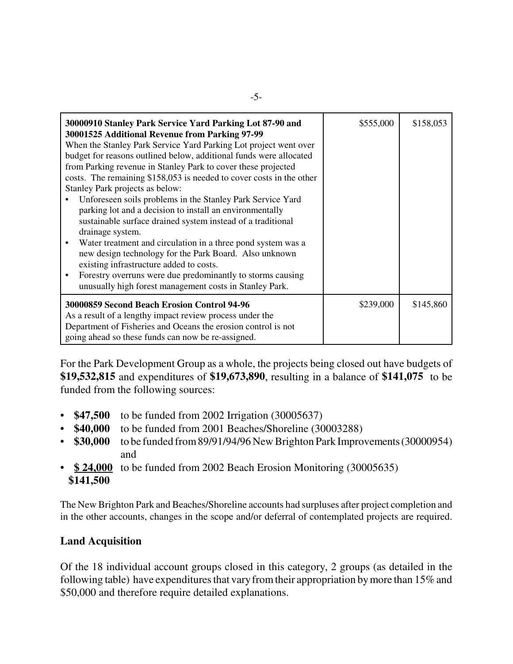| 30000910 Stanley Park Service Yard Parking Lot 87-90 and<br>30001525 Additional Revenue from Parking 97-99<br>When the Stanley Park Service Yard Parking Lot project went over<br>budget for reasons outlined below, additional funds were allocated<br>from Parking revenue in Stanley Park to cover these projected<br>costs. The remaining \$158,053 is needed to cover costs in the other<br>Stanley Park projects as below:<br>Unforeseen soils problems in the Stanley Park Service Yard<br>parking lot and a decision to install an environmentally<br>sustainable surface drained system instead of a traditional<br>drainage system.<br>Water treatment and circulation in a three pond system was a<br>new design technology for the Park Board. Also unknown<br>existing infrastructure added to costs.<br>Forestry overruns were due predominantly to storms causing<br>unusually high forest management costs in Stanley Park. | \$555,000 | \$158,053 |
|---------------------------------------------------------------------------------------------------------------------------------------------------------------------------------------------------------------------------------------------------------------------------------------------------------------------------------------------------------------------------------------------------------------------------------------------------------------------------------------------------------------------------------------------------------------------------------------------------------------------------------------------------------------------------------------------------------------------------------------------------------------------------------------------------------------------------------------------------------------------------------------------------------------------------------------------|-----------|-----------|
| 30000859 Second Beach Erosion Control 94-96<br>As a result of a lengthy impact review process under the<br>Department of Fisheries and Oceans the erosion control is not<br>going ahead so these funds can now be re-assigned.                                                                                                                                                                                                                                                                                                                                                                                                                                                                                                                                                                                                                                                                                                              | \$239,000 | \$145,860 |

For the Park Development Group as a whole, the projects being closed out have budgets of **\$19,532,815** and expenditures of **\$19,673,890**, resulting in a balance of **\$141,075** to be funded from the following sources:

- **\$47,500** to be funded from 2002 Irrigation (30005637)
- \$40,000 to be funded from 2001 Beaches/Shoreline (30003288)<br>• \$30,000 to be funded from 89/91/94/96 New Brighton Park Impro
- **\$30,000** to be funded from 89/91/94/96 New Brighton Park Improvements (30000954) and
- **\$24,000** to be funded from 2002 Beach Erosion Monitoring (30005635)  **\$141,500**

The New Brighton Park and Beaches/Shoreline accounts had surpluses after project completion and in the other accounts, changes in the scope and/or deferral of contemplated projects are required.

# **Land Acquisition**

Of the 18 individual account groups closed in this category, 2 groups (as detailed in the following table) have expenditures that vary from their appropriation by more than 15% and \$50,000 and therefore require detailed explanations.